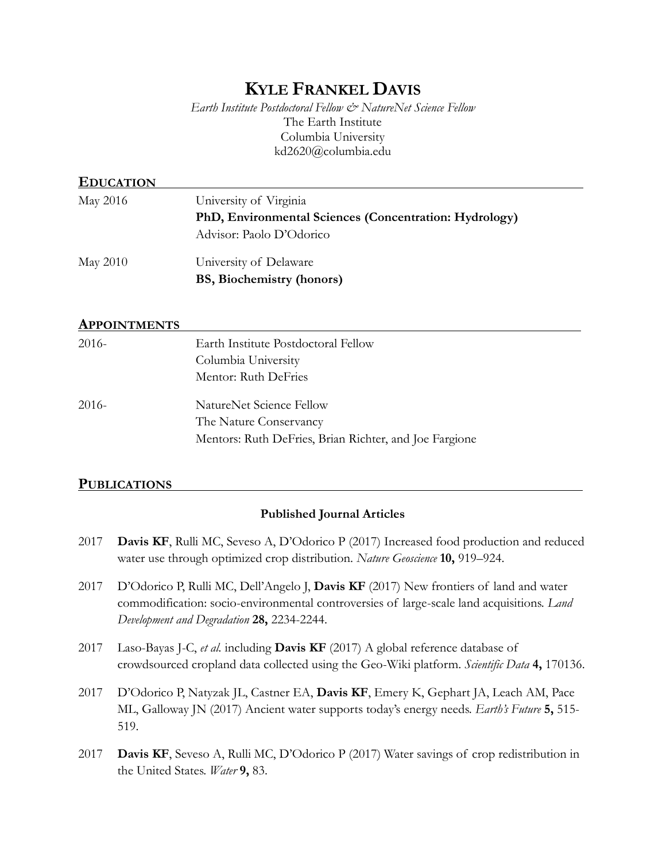# **KYLE FRANKEL DAVIS**

*Earth Institute Postdoctoral Fellow & NatureNet Science Fellow*  The Earth Institute Columbia University kd2620@columbia.edu

| <b>EDUCATION</b> |                                                                                                              |
|------------------|--------------------------------------------------------------------------------------------------------------|
| May 2016         | University of Virginia<br>PhD, Environmental Sciences (Concentration: Hydrology)<br>Advisor: Paolo D'Odorico |
| May 2010         | University of Delaware<br><b>BS, Biochemistry (honors)</b>                                                   |
| APPOINTMENTS     |                                                                                                              |
| 2016-            | Earth Institute Postdoctoral Fellow<br>Columbia University<br>Mentor: Ruth DeFries                           |
| 2016-            | NatureNet Science Fellow<br>The Nature Conservancy<br>Mentors: Ruth DeFries, Brian Richter, and Joe Fargione |

#### **PUBLICATIONS .**

#### **Published Journal Articles**

- 2017 **Davis KF**, Rulli MC, Seveso A, D'Odorico P (2017) Increased food production and reduced water use through optimized crop distribution. *Nature Geoscience* **10,** 919–924.
- 2017 D'Odorico P, Rulli MC, Dell'Angelo J, **Davis KF** (2017) New frontiers of land and water commodification: socio-environmental controversies of large-scale land acquisitions. *Land Development and Degradation* **28,** 2234-2244.
- 2017 Laso-Bayas J-C, *et al.* including **Davis KF** (2017) A global reference database of crowdsourced cropland data collected using the Geo-Wiki platform. *Scientific Data* **4,** 170136.
- 2017 D'Odorico P, Natyzak JL, Castner EA, **Davis KF**, Emery K, Gephart JA, Leach AM, Pace ML, Galloway JN (2017) Ancient water supports today's energy needs. *Earth's Future* **5,** 515- 519.
- 2017 **Davis KF**, Seveso A, Rulli MC, D'Odorico P (2017) Water savings of crop redistribution in the United States. *Water* **9,** 83.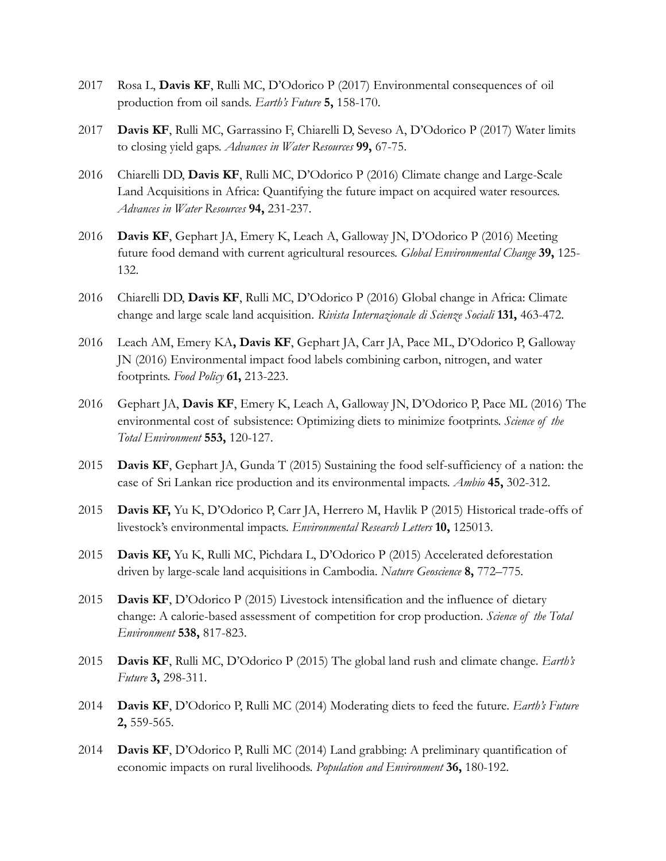- 2017 Rosa L, **Davis KF**, Rulli MC, D'Odorico P (2017) Environmental consequences of oil production from oil sands. *Earth's Future* **5,** 158-170.
- 2017 **Davis KF**, Rulli MC, Garrassino F, Chiarelli D, Seveso A, D'Odorico P (2017) Water limits to closing yield gaps. *Advances in Water Resources* **99,** 67-75.
- 2016 Chiarelli DD, **Davis KF**, Rulli MC, D'Odorico P (2016) Climate change and Large-Scale Land Acquisitions in Africa: Quantifying the future impact on acquired water resources. *Advances in Water Resources* **94,** 231-237.
- 2016 **Davis KF**, Gephart JA, Emery K, Leach A, Galloway JN, D'Odorico P (2016) Meeting future food demand with current agricultural resources. *Global Environmental Change* **39,** 125- 132.
- 2016 Chiarelli DD, **Davis KF**, Rulli MC, D'Odorico P (2016) Global change in Africa: Climate change and large scale land acquisition. *Rivista Internazionale di Scienze Sociali* **131,** 463-472.
- 2016 Leach AM, Emery KA**, Davis KF**, Gephart JA, Carr JA, Pace ML, D'Odorico P, Galloway JN (2016) Environmental impact food labels combining carbon, nitrogen, and water footprints. *Food Policy* **61,** 213-223.
- 2016 Gephart JA, **Davis KF**, Emery K, Leach A, Galloway JN, D'Odorico P, Pace ML (2016) The environmental cost of subsistence: Optimizing diets to minimize footprints. *Science of the Total Environment* **553,** 120-127.
- 2015 **Davis KF**, Gephart JA, Gunda T (2015) Sustaining the food self-sufficiency of a nation: the case of Sri Lankan rice production and its environmental impacts. *Ambio* **45,** 302-312.
- 2015 **Davis KF,** Yu K, D'Odorico P, Carr JA, Herrero M, Havlik P (2015) Historical trade-offs of livestock's environmental impacts. *Environmental Research Letters* **10,** 125013.
- 2015 **Davis KF,** Yu K, Rulli MC, Pichdara L, D'Odorico P (2015) Accelerated deforestation driven by large-scale land acquisitions in Cambodia. *Nature Geoscience* **8,** 772–775*.*
- 2015 **Davis KF**, D'Odorico P (2015) Livestock intensification and the influence of dietary change: A calorie-based assessment of competition for crop production. *Science of the Total Environment* **538,** 817-823.
- 2015 **Davis KF**, Rulli MC, D'Odorico P (2015) The global land rush and climate change. *Earth's Future* **3,** 298-311.
- 2014 **Davis KF**, D'Odorico P, Rulli MC (2014) Moderating diets to feed the future. *Earth's Future* **2,** 559-565.
- 2014 **Davis KF**, D'Odorico P, Rulli MC (2014) Land grabbing: A preliminary quantification of economic impacts on rural livelihoods. *Population and Environment* **36,** 180-192.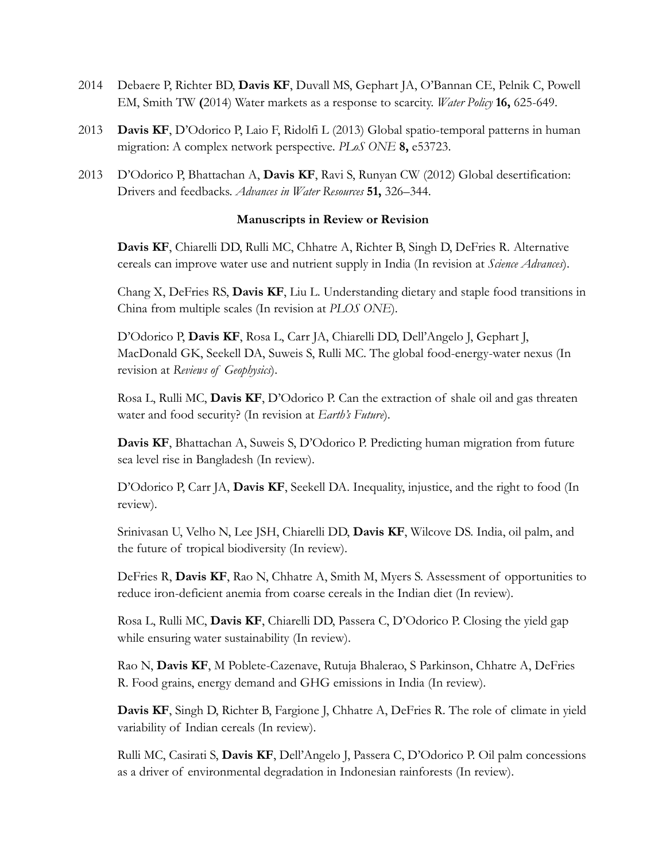- 2014 Debaere P, Richter BD, **Davis KF**, Duvall MS, Gephart JA, O'Bannan CE, Pelnik C, Powell EM, Smith TW **(**2014) Water markets as a response to scarcity. *Water Policy* **16,** 625-649.
- 2013 **Davis KF**, D'Odorico P, Laio F, Ridolfi L (2013) Global spatio-temporal patterns in human migration: A complex network perspective. *PLoS ONE* **8,** e53723.
- 2013 D'Odorico P, Bhattachan A, **Davis KF**, Ravi S, Runyan CW (2012) Global desertification: Drivers and feedbacks. *Advances in Water Resources* **51,** 326–344.

#### **Manuscripts in Review or Revision**

 **Davis KF**, Chiarelli DD, Rulli MC, Chhatre A, Richter B, Singh D, DeFries R. Alternative cereals can improve water use and nutrient supply in India (In revision at *Science Advances*).

Chang X, DeFries RS, **Davis KF**, Liu L. Understanding dietary and staple food transitions in China from multiple scales (In revision at *PLOS ONE*).

D'Odorico P, **Davis KF**, Rosa L, Carr JA, Chiarelli DD, Dell'Angelo J, Gephart J, MacDonald GK, Seekell DA, Suweis S, Rulli MC. The global food-energy-water nexus (In revision at *Reviews of Geophysics*).

Rosa L, Rulli MC, **Davis KF**, D'Odorico P. Can the extraction of shale oil and gas threaten water and food security? (In revision at *Earth's Future*).

**Davis KF**, Bhattachan A, Suweis S, D'Odorico P. Predicting human migration from future sea level rise in Bangladesh (In review).

D'Odorico P, Carr JA, **Davis KF**, Seekell DA. Inequality, injustice, and the right to food (In review).

Srinivasan U, Velho N, Lee JSH, Chiarelli DD, **Davis KF**, Wilcove DS. India, oil palm, and the future of tropical biodiversity (In review).

DeFries R, **Davis KF**, Rao N, Chhatre A, Smith M, Myers S. Assessment of opportunities to reduce iron-deficient anemia from coarse cereals in the Indian diet (In review).

Rosa L, Rulli MC, **Davis KF**, Chiarelli DD, Passera C, D'Odorico P. Closing the yield gap while ensuring water sustainability (In review).

Rao N, **Davis KF**, M Poblete-Cazenave, Rutuja Bhalerao, S Parkinson, Chhatre A, DeFries R. Food grains, energy demand and GHG emissions in India (In review).

**Davis KF**, Singh D, Richter B, Fargione J, Chhatre A, DeFries R. The role of climate in yield variability of Indian cereals (In review).

Rulli MC, Casirati S, **Davis KF**, Dell'Angelo J, Passera C, D'Odorico P. Oil palm concessions as a driver of environmental degradation in Indonesian rainforests (In review).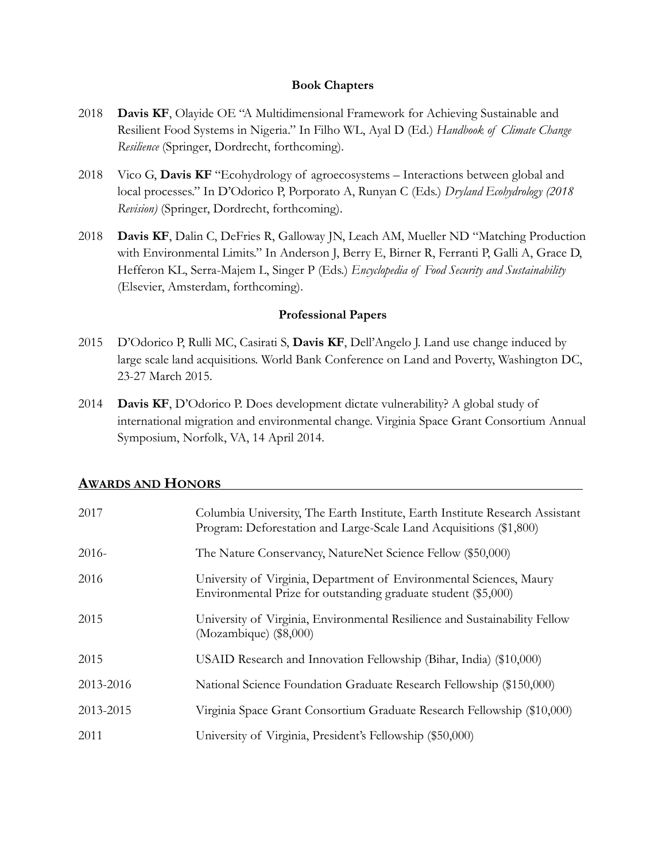#### **Book Chapters**

- 2018 **Davis KF**, Olayide OE "A Multidimensional Framework for Achieving Sustainable and Resilient Food Systems in Nigeria." In Filho WL, Ayal D (Ed.) *Handbook of Climate Change Resilience* (Springer, Dordrecht, forthcoming).
- 2018 Vico G, **Davis KF** "Ecohydrology of agroecosystems Interactions between global and local processes." In D'Odorico P, Porporato A, Runyan C (Eds.) *Dryland Ecohydrology (2018 Revision)* (Springer, Dordrecht, forthcoming).
- 2018 **Davis KF**, Dalin C, DeFries R, Galloway JN, Leach AM, Mueller ND "Matching Production with Environmental Limits." In Anderson J, Berry E, Birner R, Ferranti P, Galli A, Grace D, Hefferon KL, Serra-Majem L, Singer P (Eds.) *Encyclopedia of Food Security and Sustainability* (Elsevier, Amsterdam, forthcoming).

#### **Professional Papers**

- 2015 D'Odorico P, Rulli MC, Casirati S, **Davis KF**, Dell'Angelo J. Land use change induced by large scale land acquisitions. World Bank Conference on Land and Poverty, Washington DC, 23-27 March 2015.
- 2014 **Davis KF**, D'Odorico P. Does development dictate vulnerability? A global study of international migration and environmental change. Virginia Space Grant Consortium Annual Symposium, Norfolk, VA, 14 April 2014.

#### **AWARDS AND HONORS .**

| 2017      | Columbia University, The Earth Institute, Earth Institute Research Assistant<br>Program: Deforestation and Large-Scale Land Acquisitions (\$1,800) |
|-----------|----------------------------------------------------------------------------------------------------------------------------------------------------|
| $2016-$   | The Nature Conservancy, NatureNet Science Fellow (\$50,000)                                                                                        |
| 2016      | University of Virginia, Department of Environmental Sciences, Maury<br>Environmental Prize for outstanding graduate student (\$5,000)              |
| 2015      | University of Virginia, Environmental Resilience and Sustainability Fellow<br>(Mozambique) (\$8,000)                                               |
| 2015      | USAID Research and Innovation Fellowship (Bihar, India) (\$10,000)                                                                                 |
| 2013-2016 | National Science Foundation Graduate Research Fellowship (\$150,000)                                                                               |
| 2013-2015 | Virginia Space Grant Consortium Graduate Research Fellowship (\$10,000)                                                                            |
| 2011      | University of Virginia, President's Fellowship (\$50,000)                                                                                          |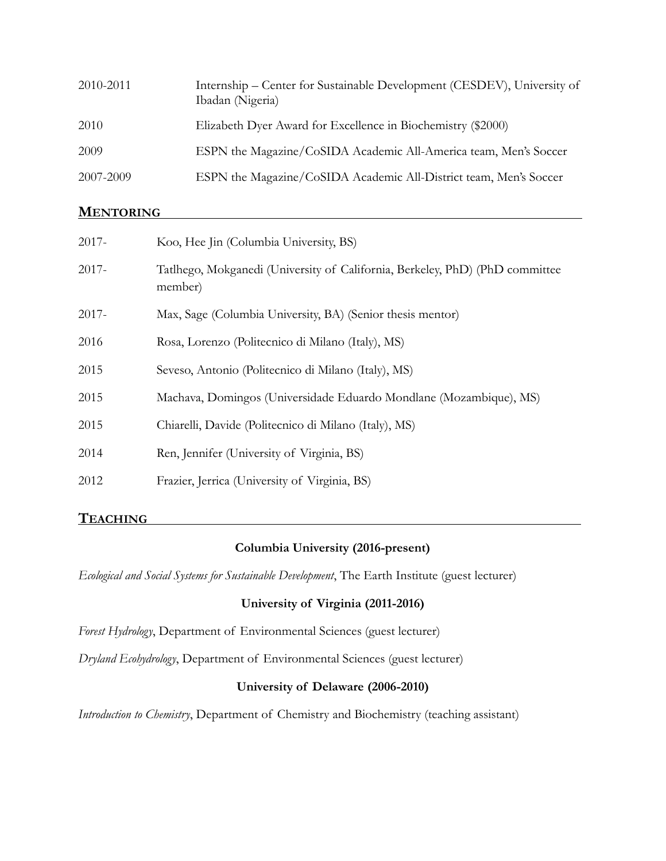| 2010-2011 | Internship – Center for Sustainable Development (CESDEV), University of<br>Ibadan (Nigeria) |
|-----------|---------------------------------------------------------------------------------------------|
| 2010      | Elizabeth Dyer Award for Excellence in Biochemistry (\$2000)                                |
| 2009      | ESPN the Magazine/CoSIDA Academic All-America team, Men's Soccer                            |
| 2007-2009 | ESPN the Magazine/CoSIDA Academic All-District team, Men's Soccer                           |

### **MENTORING .**

| $2017 -$ | Koo, Hee Jin (Columbia University, BS)                                                  |
|----------|-----------------------------------------------------------------------------------------|
| $2017 -$ | Tatlhego, Mokganedi (University of California, Berkeley, PhD) (PhD committee<br>member) |
| $2017 -$ | Max, Sage (Columbia University, BA) (Senior thesis mentor)                              |
| 2016     | Rosa, Lorenzo (Politecnico di Milano (Italy), MS)                                       |
| 2015     | Seveso, Antonio (Politecnico di Milano (Italy), MS)                                     |
| 2015     | Machava, Domingos (Universidade Eduardo Mondlane (Mozambique), MS)                      |
| 2015     | Chiarelli, Davide (Politecnico di Milano (Italy), MS)                                   |
| 2014     | Ren, Jennifer (University of Virginia, BS)                                              |
| 2012     | Frazier, Jerrica (University of Virginia, BS)                                           |
|          |                                                                                         |

### **TEACHING .**

### **Columbia University (2016-present)**

*Ecological and Social Systems for Sustainable Development*, The Earth Institute (guest lecturer)

### **University of Virginia (2011-2016)**

*Forest Hydrology*, Department of Environmental Sciences (guest lecturer)

*Dryland Ecohydrology*, Department of Environmental Sciences (guest lecturer)

#### **University of Delaware (2006-2010)**

*Introduction to Chemistry*, Department of Chemistry and Biochemistry (teaching assistant)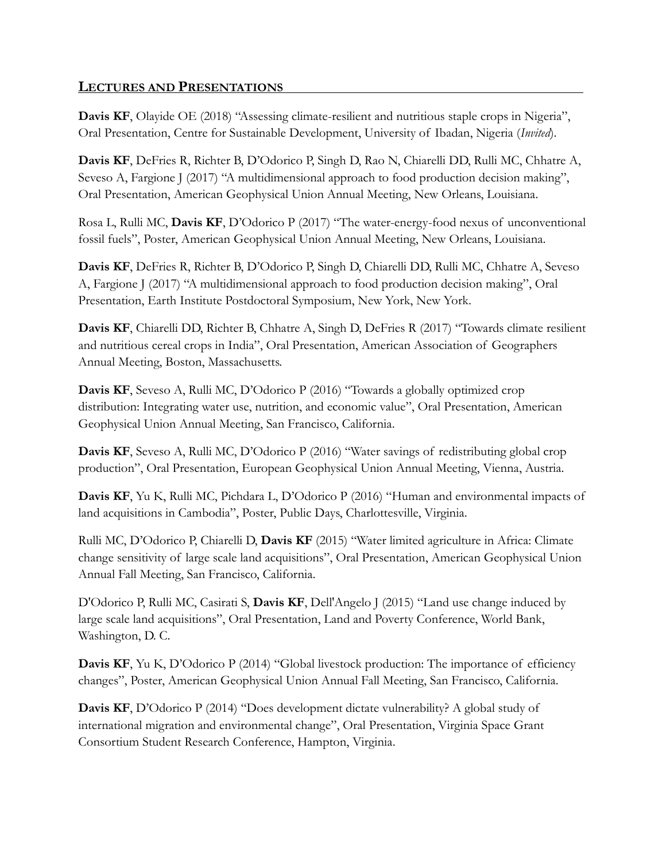## **LECTURES AND PRESENTATIONS .**

Davis KF, Olayide OE (2018) "Assessing climate-resilient and nutritious staple crops in Nigeria", Oral Presentation, Centre for Sustainable Development, University of Ibadan, Nigeria (*Invited*).

**Davis KF**, DeFries R, Richter B, D'Odorico P, Singh D, Rao N, Chiarelli DD, Rulli MC, Chhatre A, Seveso A, Fargione J (2017) "A multidimensional approach to food production decision making", Oral Presentation, American Geophysical Union Annual Meeting, New Orleans, Louisiana.

Rosa L, Rulli MC, **Davis KF**, D'Odorico P (2017) "The water-energy-food nexus of unconventional fossil fuels", Poster, American Geophysical Union Annual Meeting, New Orleans, Louisiana.

**Davis KF**, DeFries R, Richter B, D'Odorico P, Singh D, Chiarelli DD, Rulli MC, Chhatre A, Seveso A, Fargione J (2017) "A multidimensional approach to food production decision making", Oral Presentation, Earth Institute Postdoctoral Symposium, New York, New York.

**Davis KF**, Chiarelli DD, Richter B, Chhatre A, Singh D, DeFries R (2017) "Towards climate resilient and nutritious cereal crops in India", Oral Presentation, American Association of Geographers Annual Meeting, Boston, Massachusetts.

**Davis KF**, Seveso A, Rulli MC, D'Odorico P (2016) "Towards a globally optimized crop distribution: Integrating water use, nutrition, and economic value", Oral Presentation, American Geophysical Union Annual Meeting, San Francisco, California.

**Davis KF**, Seveso A, Rulli MC, D'Odorico P (2016) "Water savings of redistributing global crop production", Oral Presentation, European Geophysical Union Annual Meeting, Vienna, Austria.

**Davis KF**, Yu K, Rulli MC, Pichdara L, D'Odorico P (2016) "Human and environmental impacts of land acquisitions in Cambodia", Poster, Public Days, Charlottesville, Virginia.

Rulli MC, D'Odorico P, Chiarelli D, **Davis KF** (2015) "Water limited agriculture in Africa: Climate change sensitivity of large scale land acquisitions", Oral Presentation, American Geophysical Union Annual Fall Meeting, San Francisco, California.

D'Odorico P, Rulli MC, Casirati S, **Davis KF**, Dell'Angelo J (2015) "Land use change induced by large scale land acquisitions", Oral Presentation, Land and Poverty Conference, World Bank, Washington, D. C.

**Davis KF**, Yu K, D'Odorico P (2014) "Global livestock production: The importance of efficiency changes", Poster, American Geophysical Union Annual Fall Meeting, San Francisco, California.

**Davis KF**, D'Odorico P (2014) "Does development dictate vulnerability? A global study of international migration and environmental change", Oral Presentation, Virginia Space Grant Consortium Student Research Conference, Hampton, Virginia.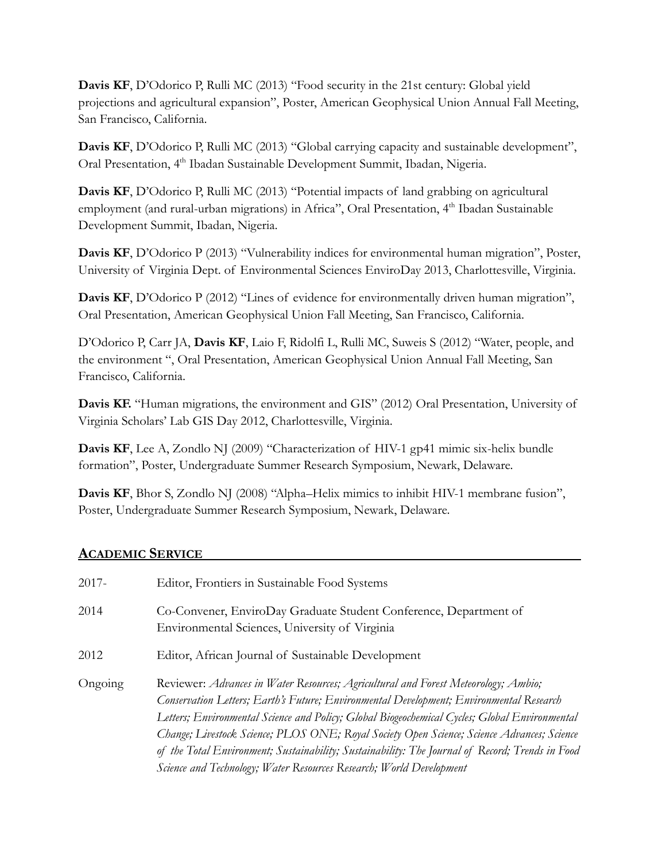**Davis KF,** D'Odorico P, Rulli MC (2013) "Food security in the 21st century: Global yield projections and agricultural expansion", Poster, American Geophysical Union Annual Fall Meeting, San Francisco, California.

**Davis KF**, D'Odorico P, Rulli MC (2013) "Global carrying capacity and sustainable development", Oral Presentation, 4<sup>th</sup> Ibadan Sustainable Development Summit, Ibadan, Nigeria.

**Davis KF**, D'Odorico P, Rulli MC (2013) "Potential impacts of land grabbing on agricultural employment (and rural-urban migrations) in Africa", Oral Presentation, 4<sup>th</sup> Ibadan Sustainable Development Summit, Ibadan, Nigeria.

**Davis KF**, D'Odorico P (2013) "Vulnerability indices for environmental human migration", Poster, University of Virginia Dept. of Environmental Sciences EnviroDay 2013, Charlottesville, Virginia.

**Davis KF**, D'Odorico P (2012) "Lines of evidence for environmentally driven human migration", Oral Presentation, American Geophysical Union Fall Meeting, San Francisco, California.

D'Odorico P, Carr JA, **Davis KF**, Laio F, Ridolfi L, Rulli MC, Suweis S (2012) "Water, people, and the environment ", Oral Presentation, American Geophysical Union Annual Fall Meeting, San Francisco, California.

**Davis KF.** "Human migrations, the environment and GIS" (2012) Oral Presentation, University of Virginia Scholars' Lab GIS Day 2012, Charlottesville, Virginia.

**Davis KF**, Lee A, Zondlo NJ (2009) "Characterization of HIV-1 gp41 mimic six-helix bundle formation", Poster, Undergraduate Summer Research Symposium, Newark, Delaware.

**Davis KF**, Bhor S, Zondlo NJ (2008) "Alpha–Helix mimics to inhibit HIV-1 membrane fusion", Poster, Undergraduate Summer Research Symposium, Newark, Delaware.

## **ACADEMIC SERVICE .**

| $2017 -$ | Editor, Frontiers in Sustainable Food Systems                                                                                                                                                                                                                                                                                                                                                                                                                                                                                                          |
|----------|--------------------------------------------------------------------------------------------------------------------------------------------------------------------------------------------------------------------------------------------------------------------------------------------------------------------------------------------------------------------------------------------------------------------------------------------------------------------------------------------------------------------------------------------------------|
| 2014     | Co-Convener, EnviroDay Graduate Student Conference, Department of<br>Environmental Sciences, University of Virginia                                                                                                                                                                                                                                                                                                                                                                                                                                    |
| 2012     | Editor, African Journal of Sustainable Development                                                                                                                                                                                                                                                                                                                                                                                                                                                                                                     |
| Ongoing  | Reviewer: Advances in Water Resources; Agricultural and Forest Meteorology; Ambio;<br>Conservation Letters; Earth's Future; Environmental Development; Environmental Research<br>Letters; Environmental Science and Policy; Global Biogeochemical Cycles; Global Environmental<br>Change; Livestock Science; PLOS ONE; Royal Society Open Science; Science Advances; Science<br>of the Total Environment; Sustainability; Sustainability: The Journal of Record; Trends in Food<br>Science and Technology; Water Resources Research; World Development |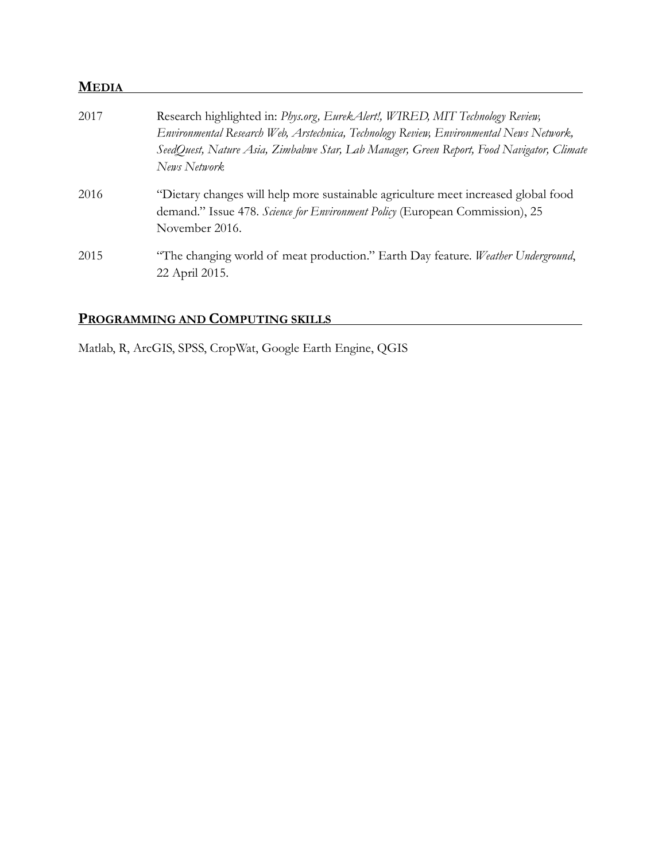## **MEDIA .**

| 2017 | Research highlighted in: Phys.org, EurekAlert!, WIRED, MIT Technology Review,<br>Environmental Research Web, Arstechnica, Technology Review, Environmental News Network,<br>SeedQuest, Nature Asia, Zimbabwe Star, Lab Manager, Green Report, Food Navigator, Climate<br>News Network |
|------|---------------------------------------------------------------------------------------------------------------------------------------------------------------------------------------------------------------------------------------------------------------------------------------|
| 2016 | "Dietary changes will help more sustainable agriculture meet increased global food<br>demand." Issue 478. Science for Environment Policy (European Commission), 25<br>November 2016.                                                                                                  |
| 2015 | "The changing world of meat production." Earth Day feature. Weather Underground,<br>22 April 2015.                                                                                                                                                                                    |

# **PROGRAMMING AND COMPUTING SKILLS .**

Matlab, R, ArcGIS, SPSS, CropWat, Google Earth Engine, QGIS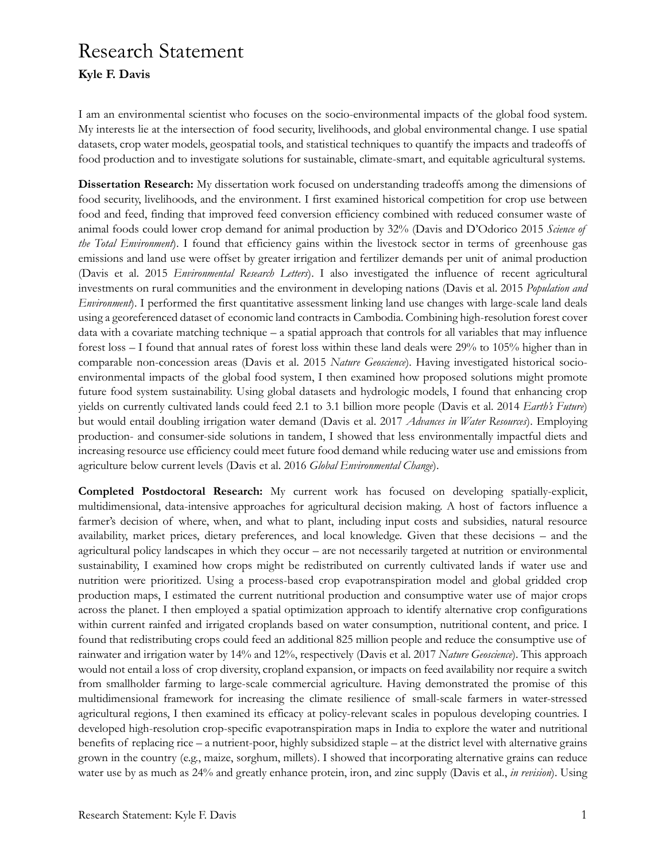# Research Statement **Kyle F. Davis**

I am an environmental scientist who focuses on the socio-environmental impacts of the global food system. My interests lie at the intersection of food security, livelihoods, and global environmental change. I use spatial datasets, crop water models, geospatial tools, and statistical techniques to quantify the impacts and tradeoffs of food production and to investigate solutions for sustainable, climate-smart, and equitable agricultural systems.

**Dissertation Research:** My dissertation work focused on understanding tradeoffs among the dimensions of food security, livelihoods, and the environment. I first examined historical competition for crop use between food and feed, finding that improved feed conversion efficiency combined with reduced consumer waste of animal foods could lower crop demand for animal production by 32% (Davis and D'Odorico 2015 *Science of the Total Environment*). I found that efficiency gains within the livestock sector in terms of greenhouse gas emissions and land use were offset by greater irrigation and fertilizer demands per unit of animal production (Davis et al. 2015 *Environmental Research Letters*). I also investigated the influence of recent agricultural investments on rural communities and the environment in developing nations (Davis et al. 2015 *Population and Environment*). I performed the first quantitative assessment linking land use changes with large-scale land deals using a georeferenced dataset of economic land contracts in Cambodia. Combining high-resolution forest cover data with a covariate matching technique – a spatial approach that controls for all variables that may influence forest loss – I found that annual rates of forest loss within these land deals were 29% to 105% higher than in comparable non-concession areas (Davis et al. 2015 *Nature Geoscience*). Having investigated historical socioenvironmental impacts of the global food system, I then examined how proposed solutions might promote future food system sustainability. Using global datasets and hydrologic models, I found that enhancing crop yields on currently cultivated lands could feed 2.1 to 3.1 billion more people (Davis et al. 2014 *Earth's Future*) but would entail doubling irrigation water demand (Davis et al. 2017 *Advances in Water Resources*). Employing production- and consumer-side solutions in tandem, I showed that less environmentally impactful diets and increasing resource use efficiency could meet future food demand while reducing water use and emissions from agriculture below current levels (Davis et al. 2016 *Global Environmental Change*).

**Completed Postdoctoral Research:** My current work has focused on developing spatially-explicit, multidimensional, data-intensive approaches for agricultural decision making. A host of factors influence a farmer's decision of where, when, and what to plant, including input costs and subsidies, natural resource availability, market prices, dietary preferences, and local knowledge. Given that these decisions – and the agricultural policy landscapes in which they occur – are not necessarily targeted at nutrition or environmental sustainability, I examined how crops might be redistributed on currently cultivated lands if water use and nutrition were prioritized. Using a process-based crop evapotranspiration model and global gridded crop production maps, I estimated the current nutritional production and consumptive water use of major crops across the planet. I then employed a spatial optimization approach to identify alternative crop configurations within current rainfed and irrigated croplands based on water consumption, nutritional content, and price. I found that redistributing crops could feed an additional 825 million people and reduce the consumptive use of rainwater and irrigation water by 14% and 12%, respectively (Davis et al. 2017 *Nature Geoscience*). This approach would not entail a loss of crop diversity, cropland expansion, or impacts on feed availability nor require a switch from smallholder farming to large-scale commercial agriculture. Having demonstrated the promise of this multidimensional framework for increasing the climate resilience of small-scale farmers in water-stressed agricultural regions, I then examined its efficacy at policy-relevant scales in populous developing countries. I developed high-resolution crop-specific evapotranspiration maps in India to explore the water and nutritional benefits of replacing rice – a nutrient-poor, highly subsidized staple – at the district level with alternative grains grown in the country (e.g., maize, sorghum, millets). I showed that incorporating alternative grains can reduce water use by as much as 24% and greatly enhance protein, iron, and zinc supply (Davis et al., *in revision*). Using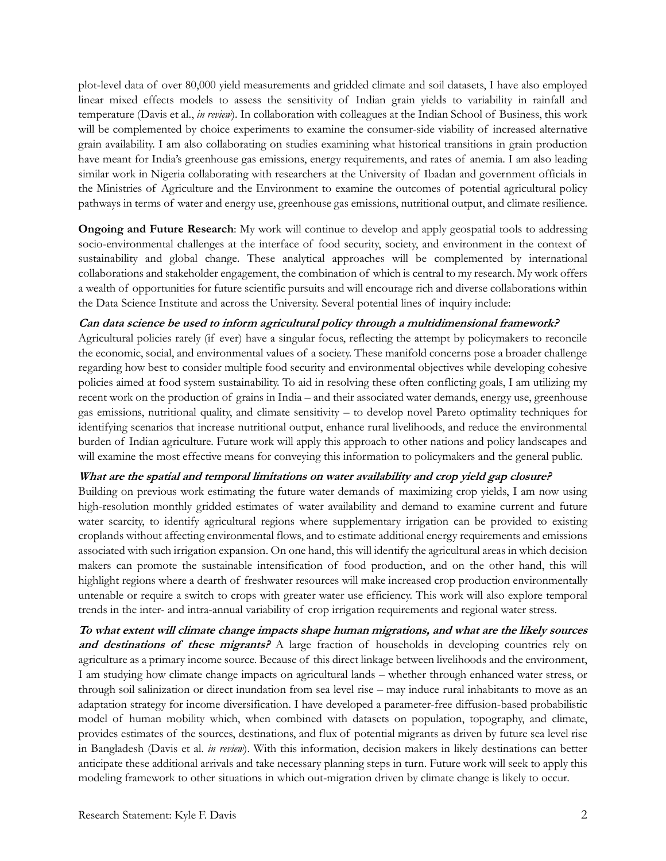plot-level data of over 80,000 yield measurements and gridded climate and soil datasets, I have also employed linear mixed effects models to assess the sensitivity of Indian grain yields to variability in rainfall and temperature (Davis et al., *in review*). In collaboration with colleagues at the Indian School of Business, this work will be complemented by choice experiments to examine the consumer-side viability of increased alternative grain availability. I am also collaborating on studies examining what historical transitions in grain production have meant for India's greenhouse gas emissions, energy requirements, and rates of anemia. I am also leading similar work in Nigeria collaborating with researchers at the University of Ibadan and government officials in the Ministries of Agriculture and the Environment to examine the outcomes of potential agricultural policy pathways in terms of water and energy use, greenhouse gas emissions, nutritional output, and climate resilience.

**Ongoing and Future Research**: My work will continue to develop and apply geospatial tools to addressing socio-environmental challenges at the interface of food security, society, and environment in the context of sustainability and global change. These analytical approaches will be complemented by international collaborations and stakeholder engagement, the combination of which is central to my research. My work offers a wealth of opportunities for future scientific pursuits and will encourage rich and diverse collaborations within the Data Science Institute and across the University. Several potential lines of inquiry include:

#### **Can data science be used to inform agricultural policy through a multidimensional framework?**

Agricultural policies rarely (if ever) have a singular focus, reflecting the attempt by policymakers to reconcile the economic, social, and environmental values of a society. These manifold concerns pose a broader challenge regarding how best to consider multiple food security and environmental objectives while developing cohesive policies aimed at food system sustainability. To aid in resolving these often conflicting goals, I am utilizing my recent work on the production of grains in India – and their associated water demands, energy use, greenhouse gas emissions, nutritional quality, and climate sensitivity – to develop novel Pareto optimality techniques for identifying scenarios that increase nutritional output, enhance rural livelihoods, and reduce the environmental burden of Indian agriculture. Future work will apply this approach to other nations and policy landscapes and will examine the most effective means for conveying this information to policymakers and the general public.

#### **What are the spatial and temporal limitations on water availability and crop yield gap closure?**

Building on previous work estimating the future water demands of maximizing crop yields, I am now using high-resolution monthly gridded estimates of water availability and demand to examine current and future water scarcity, to identify agricultural regions where supplementary irrigation can be provided to existing croplands without affecting environmental flows, and to estimate additional energy requirements and emissions associated with such irrigation expansion. On one hand, this will identify the agricultural areas in which decision makers can promote the sustainable intensification of food production, and on the other hand, this will highlight regions where a dearth of freshwater resources will make increased crop production environmentally untenable or require a switch to crops with greater water use efficiency. This work will also explore temporal trends in the inter- and intra-annual variability of crop irrigation requirements and regional water stress.

**To what extent will climate change impacts shape human migrations, and what are the likely sources and destinations of these migrants?** A large fraction of households in developing countries rely on agriculture as a primary income source. Because of this direct linkage between livelihoods and the environment, I am studying how climate change impacts on agricultural lands – whether through enhanced water stress, or through soil salinization or direct inundation from sea level rise – may induce rural inhabitants to move as an adaptation strategy for income diversification. I have developed a parameter-free diffusion-based probabilistic model of human mobility which, when combined with datasets on population, topography, and climate, provides estimates of the sources, destinations, and flux of potential migrants as driven by future sea level rise in Bangladesh (Davis et al. *in review*). With this information, decision makers in likely destinations can better anticipate these additional arrivals and take necessary planning steps in turn. Future work will seek to apply this modeling framework to other situations in which out-migration driven by climate change is likely to occur.